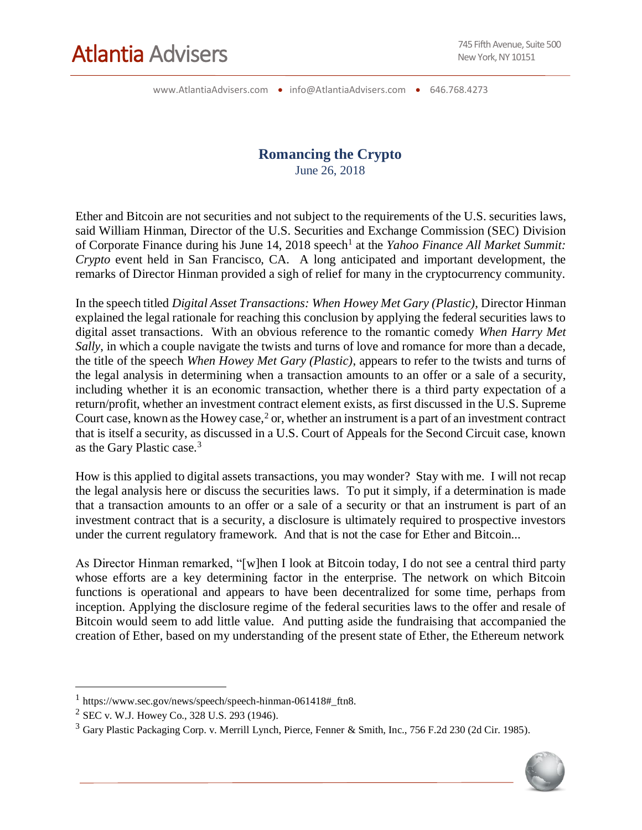www.AtlantiaAdvisers.com • info@AtlantiaAdvisers.com • 646.768.4273

#### **Romancing the Crypto** June 26, 2018

Ether and Bitcoin are not securities and not subject to the requirements of the U.S. securities laws, said William Hinman, Director of the U.S. Securities and Exchange Commission (SEC) Division of Corporate Finance during his June 14, 2018 speech<sup>1</sup> at the *Yahoo Finance All Market Summit: Crypto* event held in San Francisco, CA. A long anticipated and important development, the remarks of Director Hinman provided a sigh of relief for many in the cryptocurrency community.

In the speech titled *Digital Asset Transactions: When Howey Met Gary (Plastic)*, Director Hinman explained the legal rationale for reaching this conclusion by applying the federal securities laws to digital asset transactions. With an obvious reference to the romantic comedy *When Harry Met Sally*, in which a couple navigate the twists and turns of love and romance for more than a decade, the title of the speech *When Howey Met Gary (Plastic)*, appears to refer to the twists and turns of the legal analysis in determining when a transaction amounts to an offer or a sale of a security, including whether it is an economic transaction, whether there is a third party expectation of a return/profit, whether an investment contract element exists, as first discussed in the U.S. Supreme Court case, known as the Howey case, $2$  or, whether an instrument is a part of an investment contract that is itself a security, as discussed in a U.S. Court of Appeals for the Second Circuit case, known as the Gary Plastic case.<sup>3</sup>

How is this applied to digital assets transactions, you may wonder? Stay with me. I will not recap the legal analysis here or discuss the securities laws. To put it simply, if a determination is made that a transaction amounts to an offer or a sale of a security or that an instrument is part of an investment contract that is a security, a disclosure is ultimately required to prospective investors under the current regulatory framework. And that is not the case for Ether and Bitcoin...

As Director Hinman remarked, "[w]hen I look at Bitcoin today, I do not see a central third party whose efforts are a key determining factor in the enterprise. The network on which Bitcoin functions is operational and appears to have been decentralized for some time, perhaps from inception. Applying the disclosure regime of the federal securities laws to the offer and resale of Bitcoin would seem to add little value. And putting aside the fundraising that accompanied the creation of Ether, based on my understanding of the present state of Ether, the Ethereum network

 $\overline{a}$ 

<sup>3</sup> Gary Plastic Packaging Corp. v. Merrill Lynch, Pierce, Fenner & Smith, Inc., 756 F.2d 230 (2d Cir. 1985).



<sup>1</sup> https://www.sec.gov/news/speech/speech-hinman-061418#\_ftn8.

<sup>2</sup> SEC v. W.J. Howey Co., 328 U.S. 293 (1946).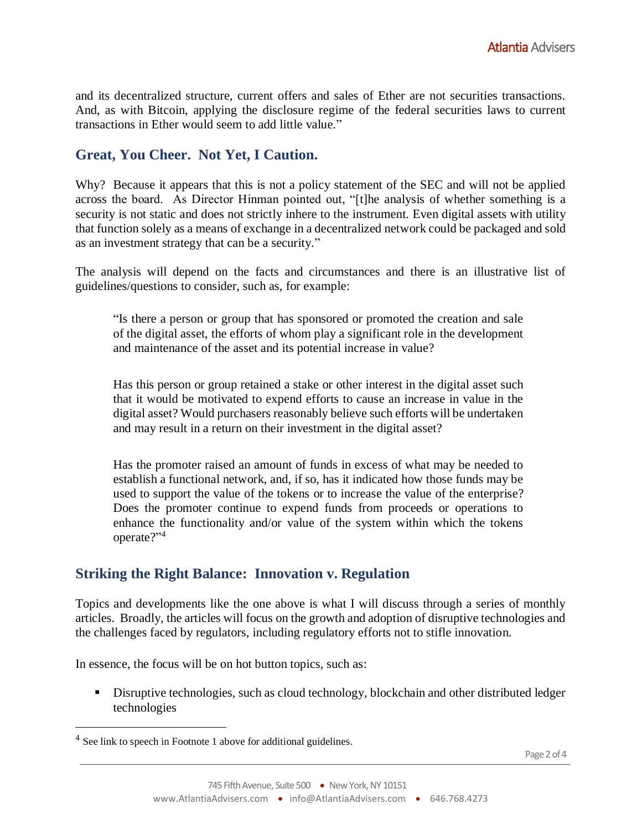and its decentralized structure, current offers and sales of Ether are not securities transactions. And, as with Bitcoin, applying the disclosure regime of the federal securities laws to current transactions in Ether would seem to add little value."

# **Great, You Cheer. Not Yet, I Caution.**

Why? Because it appears that this is not a policy statement of the SEC and will not be applied across the board. As Director Hinman pointed out, "[t]he analysis of whether something is a security is not static and does not strictly inhere to the instrument. Even digital assets with utility that function solely as a means of exchange in a decentralized network could be packaged and sold as an investment strategy that can be a security."

The analysis will depend on the facts and circumstances and there is an illustrative list of guidelines/questions to consider, such as, for example:

"Is there a person or group that has sponsored or promoted the creation and sale of the digital asset, the efforts of whom play a significant role in the development and maintenance of the asset and its potential increase in value?

Has this person or group retained a stake or other interest in the digital asset such that it would be motivated to expend efforts to cause an increase in value in the digital asset? Would purchasers reasonably believe such efforts will be undertaken and may result in a return on their investment in the digital asset?

Has the promoter raised an amount of funds in excess of what may be needed to establish a functional network, and, if so, has it indicated how those funds may be used to support the value of the tokens or to increase the value of the enterprise? Does the promoter continue to expend funds from proceeds or operations to enhance the functionality and/or value of the system within which the tokens operate?" 4

### **Striking the Right Balance: Innovation v. Regulation**

Topics and developments like the one above is what I will discuss through a series of monthly articles. Broadly, the articles will focus on the growth and adoption of disruptive technologies and the challenges faced by regulators, including regulatory efforts not to stifle innovation.

In essence, the focus will be on hot button topics, such as:

**EXECUTE:** Disruptive technologies, such as cloud technology, blockchain and other distributed ledger technologies

 $\overline{a}$ 

<sup>&</sup>lt;sup>4</sup> See link to speech in Footnote 1 above for additional guidelines.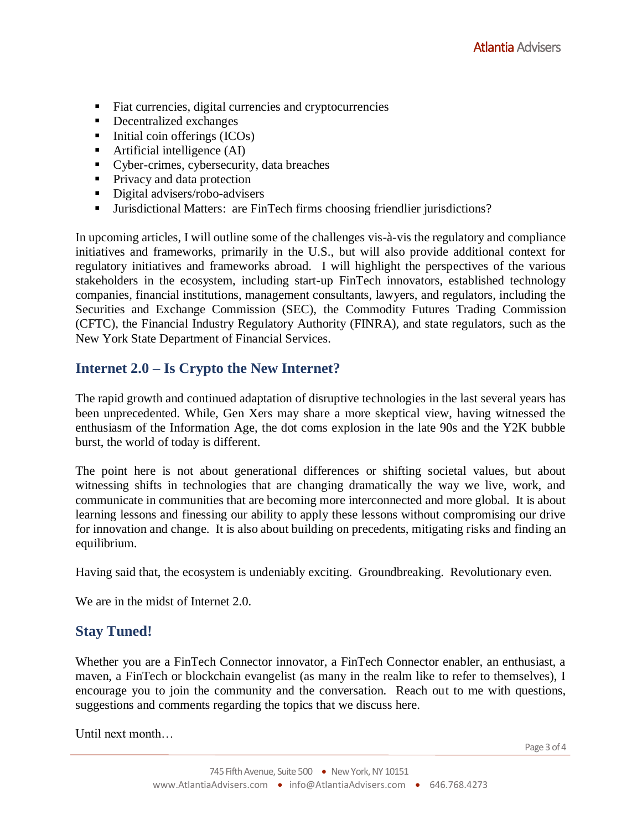- Fiat currencies, digital currencies and cryptocurrencies
- Decentralized exchanges
- $\blacksquare$  Initial coin offerings (ICOs)
- $\blacksquare$  Artificial intelligence (AI)
- Cyber-crimes, cybersecurity, data breaches
- Privacy and data protection
- Digital advisers/robo-advisers
- Jurisdictional Matters: are FinTech firms choosing friendlier jurisdictions?

In upcoming articles, I will outline some of the challenges vis-à-vis the regulatory and compliance initiatives and frameworks, primarily in the U.S., but will also provide additional context for regulatory initiatives and frameworks abroad. I will highlight the perspectives of the various stakeholders in the ecosystem, including start-up FinTech innovators, established technology companies, financial institutions, management consultants, lawyers, and regulators, including the Securities and Exchange Commission (SEC), the Commodity Futures Trading Commission (CFTC), the Financial Industry Regulatory Authority (FINRA), and state regulators, such as the New York State Department of Financial Services.

## **Internet 2.0 – Is Crypto the New Internet?**

The rapid growth and continued adaptation of disruptive technologies in the last several years has been unprecedented. While, Gen Xers may share a more skeptical view, having witnessed the enthusiasm of the Information Age, the dot coms explosion in the late 90s and the Y2K bubble burst, the world of today is different.

The point here is not about generational differences or shifting societal values, but about witnessing shifts in technologies that are changing dramatically the way we live, work, and communicate in communities that are becoming more interconnected and more global. It is about learning lessons and finessing our ability to apply these lessons without compromising our drive for innovation and change. It is also about building on precedents, mitigating risks and finding an equilibrium.

Having said that, the ecosystem is undeniably exciting. Groundbreaking. Revolutionary even.

We are in the midst of Internet 2.0.

### **Stay Tuned!**

Whether you are a FinTech Connector innovator, a FinTech Connector enabler, an enthusiast, a maven, a FinTech or blockchain evangelist (as many in the realm like to refer to themselves), I encourage you to join the community and the conversation. Reach out to me with questions, suggestions and comments regarding the topics that we discuss here.

Until next month…